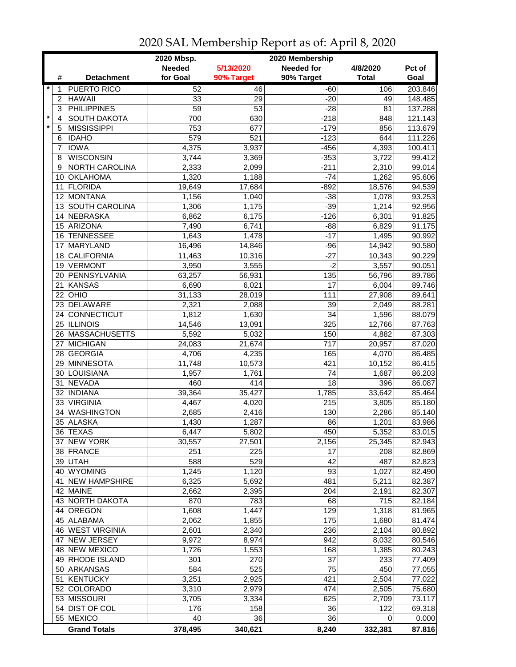|         |                 |                                | 2020 Mbsp.<br>2020 Membership |            |                   |                |         |  |  |
|---------|-----------------|--------------------------------|-------------------------------|------------|-------------------|----------------|---------|--|--|
|         |                 |                                | <b>Needed</b>                 | 5/13/2020  | <b>Needed for</b> | 4/8/2020       | Pct of  |  |  |
|         | #               | <b>Detachment</b>              | for Goal                      | 90% Target | 90% Target        | <b>Total</b>   | Goal    |  |  |
| $\star$ | 1               | <b>PUERTO RICO</b>             | 52                            | 46         | $-60$             | 106            | 203.846 |  |  |
|         | 2               | <b>HAWAII</b>                  | 33                            | 29         | $-20$             | 49             | 148.485 |  |  |
|         | 3               | <b>PHILIPPINES</b>             | $\overline{59}$               | 53         | $-28$             | 81             | 137.288 |  |  |
| $\star$ | $\overline{4}$  | <b>SOUTH DAKOTA</b>            | 700                           | 630        | $-218$            | 848            | 121.143 |  |  |
| $\star$ | 5               | <b>MISSISSIPPI</b>             | 753                           | 677        | $-179$            | 856            | 113.679 |  |  |
|         | 6               | <b>IDAHO</b>                   | 579                           | 521        | $-123$            | 644            | 111.226 |  |  |
|         | 7               | <b>IOWA</b>                    | 4,375                         | 3,937      | $-456$            | 4,393          | 100.411 |  |  |
|         | 8               | <b>WISCONSIN</b>               |                               |            | $-353$            |                |         |  |  |
|         |                 | NORTH CAROLINA                 | 3,744                         | 3,369      |                   | 3,722          | 99.412  |  |  |
|         | 9               |                                | 2,333                         | 2,099      | $-211$            | 2,310          | 99.014  |  |  |
|         | 10 <sup>°</sup> | <b>OKLAHOMA</b>                | 1,320                         | 1,188      | $-74$             | 1,262          | 95.606  |  |  |
|         | 11              | <b>FLORIDA</b>                 | 19,649                        | 17,684     | $-892$            | 18,576         | 94.539  |  |  |
|         | 12 <sup>2</sup> | MONTANA                        | 1,156                         | 1,040      | $-38$             | 1,078          | 93.253  |  |  |
|         |                 | 13 SOUTH CAROLINA              | 1,306                         | 1,175      | $-39$             | 1,214          | 92.956  |  |  |
|         |                 | 14 NEBRASKA                    | 6,862                         | 6,175      | $-126$            | 6,301          | 91.825  |  |  |
|         |                 | 15 ARIZONA                     | 7,490                         | 6,741      | $-88$             | 6,829          | 91.175  |  |  |
|         | 16              | <b>TENNESSEE</b>               | 1,643                         | 1,478      | $-17$             | 1,495          | 90.992  |  |  |
|         | 17              | <b>MARYLAND</b>                | 16,496                        | 14,846     | $-96$             | 14,942         | 90.580  |  |  |
|         | 18              | <b>CALIFORNIA</b>              | 11,463                        | 10,316     | $-27$             | 10,343         | 90.229  |  |  |
|         | 19              | <b>VERMONT</b>                 | 3,950                         | 3,555      | $-2$              | 3,557          | 90.051  |  |  |
|         | 20              | PENNSYLVANIA                   | 63,257                        | 56,931     | 135               | 56,796         | 89.786  |  |  |
|         | 21              | <b>KANSAS</b>                  | 6,690                         | 6,021      | 17                | 6,004          | 89.746  |  |  |
|         | 22              | OHIO                           | 31,133                        | 28,019     | 111               | 27,908         | 89.641  |  |  |
|         |                 | 23 DELAWARE                    | 2,321                         | 2,088      | $\overline{39}$   | 2,049          | 88.281  |  |  |
|         |                 | 24 CONNECTICUT                 | 1,812                         | 1,630      | $\overline{34}$   | 1,596          | 88.079  |  |  |
|         |                 | 25 ILLINOIS                    | 14,546                        | 13,091     | 325               | 12,766         | 87.763  |  |  |
|         |                 | 26 MASSACHUSETTS               | 5,592                         | 5,032      | 150               | 4,882          | 87.303  |  |  |
|         | 27              | MICHIGAN                       | 24,083                        | 21,674     | $\overline{717}$  | 20,957         | 87.020  |  |  |
|         |                 | 28 GEORGIA                     | 4,706                         | 4,235      | 165               | 4,070          | 86.485  |  |  |
|         | 29              | <b>MINNESOTA</b>               | 11,748                        | 10,573     | 421               | 10,152         | 86.415  |  |  |
|         | 30              | LOUISIANA                      | 1,957                         | 1,761      | 74                | 1,687          | 86.203  |  |  |
|         | 31              | NEVADA                         | 460                           | 414        | 18                | 396            | 86.087  |  |  |
|         |                 | 32 INDIANA                     | 39,364                        | 35,427     | 1,785             | 33,642         | 85.464  |  |  |
|         |                 | 33 VIRGINIA                    | 4,467                         | 4,020      | 215               | 3,805          | 85.180  |  |  |
|         | 34              | <b>WASHINGTON</b>              | 2,685                         | 2,416      | 130               | 2,286          | 85.140  |  |  |
|         |                 | 35 ALASKA                      | 1,430                         | 1,287      | 86                | 1,201          | 83.986  |  |  |
|         |                 | 36 TEXAS                       | 6,447                         | 5,802      | 450               | 5,352          | 83.015  |  |  |
|         |                 | 37 NEW YORK                    | 30,557                        | 27,501     | 2,156             | 25,345         | 82.943  |  |  |
|         |                 | 38 FRANCE                      | 251                           | 225        | 17                | 208            | 82.869  |  |  |
|         |                 | 39 UTAH                        | 588                           | 529        | 42                | 487            | 82.823  |  |  |
|         |                 | 40 WYOMING                     | 1,245                         | 1,120      | 93                | 1,027          | 82.490  |  |  |
|         |                 | 41 NEW HAMPSHIRE               | 6,325                         | 5,692      | 481               | 5,211          | 82.387  |  |  |
|         |                 | 42 MAINE                       | 2,662                         | 2,395      | 204               | 2,191          | 82.307  |  |  |
|         |                 | 43 NORTH DAKOTA                | 870                           | 783        | 68                | 715            | 82.184  |  |  |
|         |                 | 44 OREGON                      | 1,608                         | 1,447      | 129               | 1,318          | 81.965  |  |  |
|         |                 |                                | 2,062                         |            |                   |                |         |  |  |
|         |                 | 45 ALABAMA<br>46 WEST VIRGINIA |                               | 1,855      | 175               | 1,680<br>2,104 | 81.474  |  |  |
|         |                 |                                | 2,601                         | 2,340      | 236               |                | 80.892  |  |  |
|         | 47              | <b>NEW JERSEY</b>              | 9,972                         | 8,974      | 942               | 8,032          | 80.546  |  |  |
|         |                 | 48 NEW MEXICO                  | 1,726                         | 1,553      | 168               | 1,385          | 80.243  |  |  |
|         |                 | 49 RHODE ISLAND                | 301                           | 270        | 37                | 233            | 77.409  |  |  |
|         |                 | 50 ARKANSAS                    | 584                           | 525        | 75                | 450            | 77.055  |  |  |
|         | 51              | KENTUCKY                       | 3,251                         | 2,925      | 421               | 2,504          | 77.022  |  |  |
|         |                 | 52 COLORADO                    | 3,310                         | 2,979      | 474               | 2,505          | 75.680  |  |  |
|         |                 | 53 MISSOURI                    | 3,705                         | 3,334      | 625               | 2,709          | 73.117  |  |  |
|         |                 | 54 DIST OF COL                 | 176                           | 158        | 36                | 122            | 69.318  |  |  |
|         |                 | 55 MEXICO                      | 40                            | 36         | 36                | 0              | 0.000   |  |  |
|         |                 | <b>Grand Totals</b>            | 378,495                       | 340,621    | 8,240             | 332,381        | 87.816  |  |  |

## 2020 SAL Membership Report as of: April 8, 2020